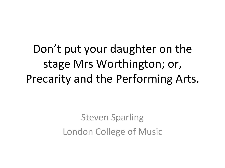Don't put your daughter on the stage Mrs Worthington; or, Precarity and the Performing Arts.

> **Steven Sparling** London College of Music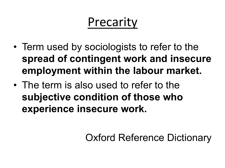### Precarity

- Term used by sociologists to refer to the **spread of contingent work and insecure employment within the labour market.**
- The term is also used to refer to the **subjective condition of those who experience insecure work.**

#### Oxford Reference Dictionary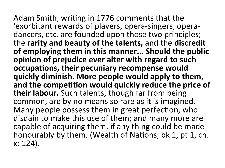Adam Smith, writing in 1776 comments that the 'exorbitant rewards of players, opera-singers, operadancers, etc. are founded upon those two principles; the rarity and beauty of the talents, and the discredit of employing them in this manner... Should the public **opinion of prejudice ever alter with regard to such** occupations, their pecuniary recompense would **quickly diminish. More people would apply to them,**  and the competition would quickly reduce the price of **their labour.** Such talents, though far from being common, are by no means so rare as it is imagined. Many people possess them in great perfection, who disdain to make this use of them; and many more are capable of acquiring them, if any thing could be made honourably by them. (Wealth of Nations, bk 1, pt 1, ch.  $x: 124$ ).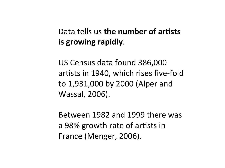#### Data tells us **the number of artists is growing rapidly.**

US Census data found 386,000 artists in 1940, which rises five-fold to 1,931,000 by 2000 (Alper and Wassal, 2006).

Between 1982 and 1999 there was a 98% growth rate of artists in France (Menger, 2006).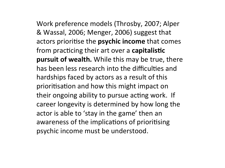Work preference models (Throsby, 2007; Alper & Wassal, 2006; Menger, 2006) suggest that actors prioritise the **psychic income** that comes from practicing their art over a capitalistic **pursuit of wealth.** While this may be true, there has been less research into the difficulties and hardships faced by actors as a result of this prioritisation and how this might impact on their ongoing ability to pursue acting work. If career longevity is determined by how long the actor is able to 'stay in the game' then an awareness of the implications of prioritising psychic income must be understood.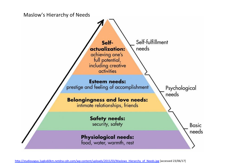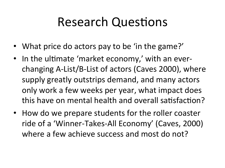### **Research Questions**

- What price do actors pay to be 'in the game?'
- In the ultimate 'market economy,' with an everchanging A-List/B-List of actors (Caves 2000), where supply greatly outstrips demand, and many actors only work a few weeks per year, what impact does this have on mental health and overall satisfaction?
- How do we prepare students for the roller coaster ride of a 'Winner-Takes-All Economy' (Caves, 2000) where a few achieve success and most do not?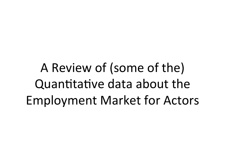A Review of (some of the) Quantitative data about the Employment Market for Actors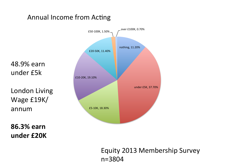#### Annual Income from Acting



Equity 2013 Membership Survey n=3804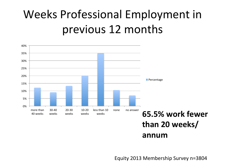### Weeks Professional Employment in previous 12 months



Equity 2013 Membership Survey n=3804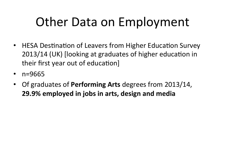## Other Data on Employment

- HESA Destination of Leavers from Higher Education Survey 2013/14 (UK) [looking at graduates of higher education in their first year out of education]
- n=9665
- Of graduates of **Performing Arts** degrees from 2013/14, **29.9% employed in jobs in arts, design and media**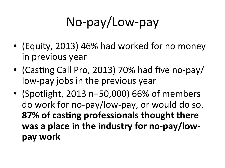# No-pay/Low-pay

- (Equity, 2013) 46% had worked for no money in previous year
- (Casting Call Pro, 2013) 70% had five no-pay/ low-pay jobs in the previous year
- (Spotlight, 2013  $n=50,000$ ) 66% of members do work for no-pay/low-pay, or would do so. **87% of casting professionals thought there** was a place in the industry for no-pay/low**pay work**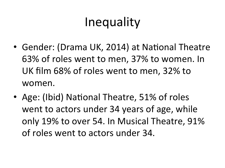## Inequality

- Gender: (Drama UK, 2014) at National Theatre 63% of roles went to men, 37% to women. In UK film 68% of roles went to men, 32% to women.
- Age: (Ibid) National Theatre, 51% of roles went to actors under 34 years of age, while only 19% to over 54. In Musical Theatre, 91% of roles went to actors under 34.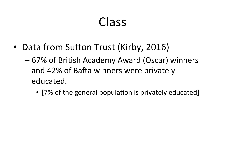## Class

- Data from Sutton Trust (Kirby, 2016)
	- 67% of British Academy Award (Oscar) winners and 42% of Bafta winners were privately educated.
		- [7% of the general population is privately educated]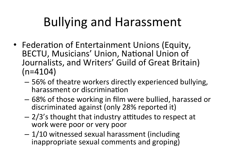## **Bullying and Harassment**

- Federation of Entertainment Unions (Equity, BECTU, Musicians' Union, National Union of Journalists, and Writers' Guild of Great Britain)  $(n=4104)$ 
	- $-$  56% of theatre workers directly experienced bullying, harassment or discrimination
	- $-68%$  of those working in film were bullied, harassed or discriminated against (only 28% reported it)
	- $-$  2/3's thought that industry attitudes to respect at work were poor or very poor
	- $-1/10$  witnessed sexual harassment (including inappropriate sexual comments and groping)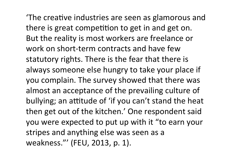'The creative industries are seen as glamorous and there is great competition to get in and get on. But the reality is most workers are freelance or work on short-term contracts and have few statutory rights. There is the fear that there is always someone else hungry to take your place if you complain. The survey showed that there was almost an acceptance of the prevailing culture of bullying; an attitude of 'if you can't stand the heat then get out of the kitchen.' One respondent said you were expected to put up with it "to earn your stripes and anything else was seen as a weakness."' (FEU, 2013, p. 1).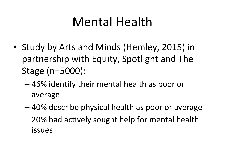## Mental Health

- Study by Arts and Minds (Hemley, 2015) in partnership with Equity, Spotlight and The Stage (n=5000):
	- $-$  46% identify their mental health as poor or average
	- $-$  40% describe physical health as poor or average
	- $-$  20% had actively sought help for mental health issues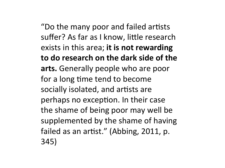"Do the many poor and failed artists suffer? As far as I know, little research exists in this area; it is not rewarding **to do research on the dark side of the arts.** Generally people who are poor for a long time tend to become socially isolated, and artists are perhaps no exception. In their case the shame of being poor may well be supplemented by the shame of having failed as an artist." (Abbing, 2011, p. 345)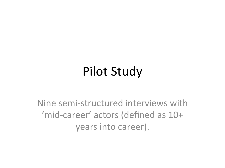## Pilot Study

Nine semi-structured interviews with 'mid-career' actors (defined as 10+ years into career).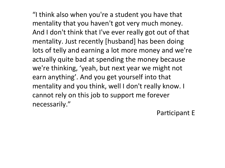"I think also when you're a student you have that mentality that you haven't got very much money. And I don't think that I've ever really got out of that mentality. Just recently [husband] has been doing lots of telly and earning a lot more money and we're actually quite bad at spending the money because we're thinking, 'yeah, but next year we might not earn anything'. And you get yourself into that mentality and you think, well I don't really know. I cannot rely on this job to support me forever necessarily." 

#### Participant E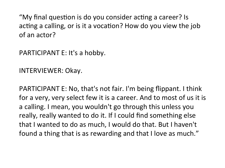"My final question is do you consider acting a career? Is acting a calling, or is it a vocation? How do you view the job of an actor?

PARTICIPANT E: It's a hobby.

INTERVIEWER: Okay.

PARTICIPANT E: No, that's not fair. I'm being flippant. I think for a very, very select few it is a career. And to most of us it is a calling. I mean, you wouldn't go through this unless you really, really wanted to do it. If I could find something else that I wanted to do as much, I would do that. But I haven't found a thing that is as rewarding and that I love as much."